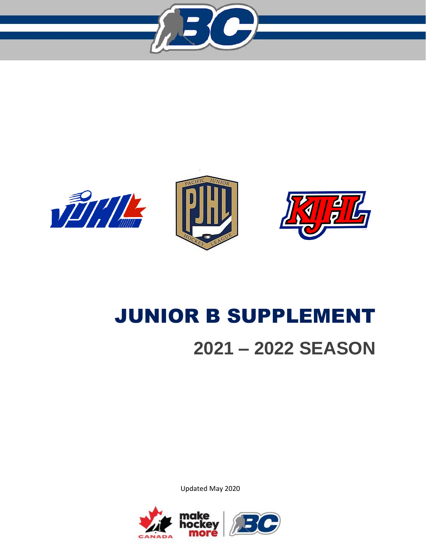







# JUNIOR B SUPPLEMENT **2021 – 2022 SEASON**

Updated May 2020

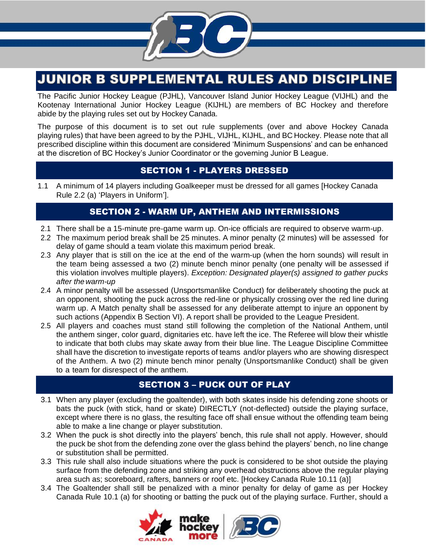

# **JUNIOR B SUPPLEMENTAL RULES AND DISCIPLINE**

The Pacific Junior Hockey League (PJHL), Vancouver Island Junior Hockey League (VIJHL) and the Kootenay International Junior Hockey League (KIJHL) are members of BC Hockey and therefore abide by the playing rules set out by Hockey Canada.

The purpose of this document is to set out rule supplements (over and above Hockey Canada playing rules) that have been agreed to by the PJHL, VIJHL, KIJHL, and BC Hockey. Please note that all prescribed discipline within this document are considered 'Minimum Suspensions' and can be enhanced at the discretion of BC Hockey's Junior Coordinator or the governing Junior B League.

# SECTION 1 - PLAYERS DRESSED

1.1 A minimum of 14 players including Goalkeeper must be dressed for all games [Hockey Canada Rule 2.2 (a) 'Players in Uniform'].

# SECTION 2 - WARM UP, ANTHEM AND INTERMISSIONS

- 2.1 There shall be a 15-minute pre-game warm up. On-ice officials are required to observe warm-up.
- 2.2 The maximum period break shall be 25 minutes. A minor penalty (2 minutes) will be assessed for delay of game should a team violate this maximum period break.
- 2.3 Any player that is still on the ice at the end of the warm-up (when the horn sounds) will result in the team being assessed a two (2) minute bench minor penalty (one penalty will be assessed if this violation involves multiple players). *Exception: Designated player(s) assigned to gather pucks after the warm-up*
- 2.4 A minor penalty will be assessed (Unsportsmanlike Conduct) for deliberately shooting the puck at an opponent, shooting the puck across the red-line or physically crossing over the red line during warm up. A Match penalty shall be assessed for any deliberate attempt to injure an opponent by such actions (Appendix B Section VI). A report shall be provided to the League President.
- 2.5 All players and coaches must stand still following the completion of the National Anthem, until the anthem singer, color guard, dignitaries etc. have left the ice. The Referee will blow their whistle to indicate that both clubs may skate away from their blue line. The League Discipline Committee shall have the discretion to investigate reports of teams and/or players who are showing disrespect of the Anthem. A two (2) minute bench minor penalty (Unsportsmanlike Conduct) shall be given to a team for disrespect of the anthem.

# SECTION 3 – PUCK OUT OF PLAY

- 3.1 When any player (excluding the goaltender), with both skates inside his defending zone shoots or bats the puck (with stick, hand or skate) DIRECTLY (not-deflected) outside the playing surface, except where there is no glass, the resulting face off shall ensue without the offending team being able to make a line change or player substitution.
- 3.2 When the puck is shot directly into the players' bench, this rule shall not apply. However, should the puck be shot from the defending zone over the glass behind the players' bench, no line change or substitution shall be permitted.
- 3.3 This rule shall also include situations where the puck is considered to be shot outside the playing surface from the defending zone and striking any overhead obstructions above the regular playing area such as; scoreboard, rafters, banners or roof etc. [Hockey Canada Rule 10.11 (a)]
- 3.4 The Goaltender shall still be penalized with a minor penalty for delay of game as per Hockey Canada Rule 10.1 (a) for shooting or batting the puck out of the playing surface. Further, should a

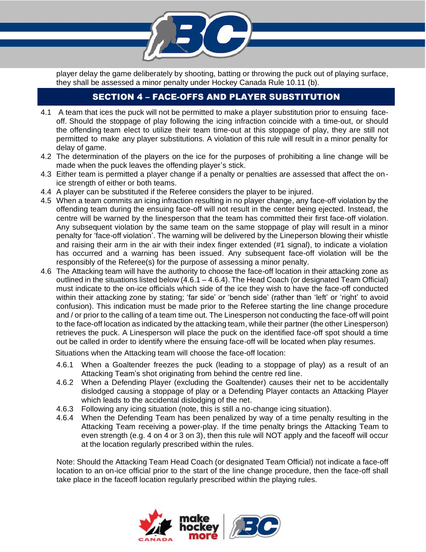player delay the game deliberately by shooting, batting or throwing the puck out of playing surface, they shall be assessed a minor penalty under Hockey Canada Rule 10.11 (b).

# SECTION 4 – FACE-OFFS AND PLAYER SUBSTITUTION

- 4.1 A team that ices the puck will not be permitted to make a player substitution prior to ensuing faceoff. Should the stoppage of play following the icing infraction coincide with a time-out, or should the offending team elect to utilize their team time-out at this stoppage of play, they are still not permitted to make any player substitutions. A violation of this rule will result in a minor penalty for delay of game.
- 4.2 The determination of the players on the ice for the purposes of prohibiting a line change will be made when the puck leaves the offending player's stick.
- 4.3 Either team is permitted a player change if a penalty or penalties are assessed that affect the onice strength of either or both teams.
- 4.4 A player can be substituted if the Referee considers the player to be injured.
- 4.5 When a team commits an icing infraction resulting in no player change, any face-off violation by the offending team during the ensuing face-off will not result in the center being ejected. Instead, the centre will be warned by the linesperson that the team has committed their first face-off violation. Any subsequent violation by the same team on the same stoppage of play will result in a minor penalty for 'face-off violation'. The warning will be delivered by the Lineperson blowing their whistle and raising their arm in the air with their index finger extended (#1 signal), to indicate a violation has occurred and a warning has been issued. Any subsequent face-off violation will be the responsibly of the Referee(s) for the purpose of assessing a minor penalty.
- 4.6 The Attacking team will have the authority to choose the face-off location in their attacking zone as outlined in the situations listed below (4.6.1 – 4.6.4). The Head Coach (or designated Team Official) must indicate to the on-ice officials which side of the ice they wish to have the face-off conducted within their attacking zone by stating; 'far side' or 'bench side' (rather than 'left' or 'right' to avoid confusion). This indication must be made prior to the Referee starting the line change procedure and / or prior to the calling of a team time out. The Linesperson not conducting the face-off will point to the face-off location as indicated by the attacking team, while their partner (the other Linesperson) retrieves the puck. A Linesperson will place the puck on the identified face-off spot should a time out be called in order to identify where the ensuing face-off will be located when play resumes.

Situations when the Attacking team will choose the face-off location:

- 4.6.1 When a Goaltender freezes the puck (leading to a stoppage of play) as a result of an Attacking Team's shot originating from behind the centre red line.
- 4.6.2 When a Defending Player (excluding the Goaltender) causes their net to be accidentally dislodged causing a stoppage of play or a Defending Player contacts an Attacking Player which leads to the accidental dislodging of the net.
- 4.6.3 Following any icing situation (note, this is still a no-change icing situation).
- 4.6.4 When the Defending Team has been penalized by way of a time penalty resulting in the Attacking Team receiving a power-play. If the time penalty brings the Attacking Team to even strength (e.g. 4 on 4 or 3 on 3), then this rule will NOT apply and the faceoff will occur at the location regularly prescribed within the rules.

Note: Should the Attacking Team Head Coach (or designated Team Official) not indicate a face-off location to an on-ice official prior to the start of the line change procedure, then the face-off shall take place in the faceoff location regularly prescribed within the playing rules.

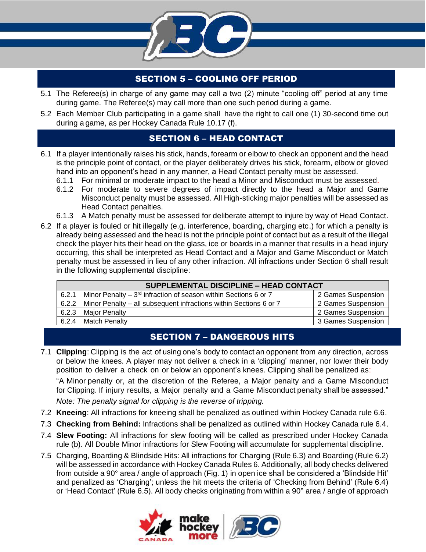

# SECTION 5 – COOLING OFF PERIOD

- 5.1 The Referee(s) in charge of any game may call a two (2) minute "cooling off" period at any time during game. The Referee(s) may call more than one such period during a game.
- 5.2 Each Member Club participating in a game shall have the right to call one (1) 30-second time out during a game, as per Hockey Canada Rule 10.17 (f).

# SECTION 6 – HEAD CONTACT

- 6.1 If a player intentionally raises his stick, hands, forearm or elbow to check an opponent and the head is the principle point of contact, or the player deliberately drives his stick, forearm, elbow or gloved hand into an opponent's head in any manner, a Head Contact penalty must be assessed.
	- 6.1.1 For minimal or moderate impact to the head a Minor and Misconduct must be assessed.
	- 6.1.2 For moderate to severe degrees of impact directly to the head a Major and Game Misconduct penalty must be assessed. All High-sticking major penalties will be assessed as Head Contact penalties.
	- 6.1.3 A Match penalty must be assessed for deliberate attempt to injure by way of Head Contact.
- 6.2 If a player is fouled or hit illegally (e.g. interference, boarding, charging etc.) for which a penalty is already being assessed and the head is not the principle point of contact but as a result of the illegal check the player hits their head on the glass, ice or boards in a manner that results in a head injury occurring, this shall be interpreted as Head Contact and a Major and Game Misconduct or Match penalty must be assessed in lieu of any other infraction. All infractions under Section 6 shall result in the following supplemental discipline:

| SUPPLEMENTAL DISCIPLINE - HEAD CONTACT |                                                                      |                    |
|----------------------------------------|----------------------------------------------------------------------|--------------------|
| 6.2.1                                  | Minor Penalty – $3^{rd}$ infraction of season within Sections 6 or 7 | 2 Games Suspension |
| 6.2.2                                  | Minor Penalty – all subsequent infractions within Sections 6 or 7    | 2 Games Suspension |
| 6.2.3                                  | <b>Maior Penalty</b>                                                 | 2 Games Suspension |
| 6.2.4                                  | <b>Match Penalty</b>                                                 | 3 Games Suspension |

# SECTION 7 – DANGEROUS HITS

7.1 **Clipping**: Clipping is the act of using one's body to contact an opponent from any direction, across or below the knees. A player may not deliver a check in a 'clipping' manner, nor lower their body position to deliver a check on or below an opponent's knees. Clipping shall be penalized as:

"A Minor penalty or, at the discretion of the Referee, a Major penalty and a Game Misconduct for Clipping. If injury results, a Major penalty and a Game Misconduct penalty shall be assessed."

*Note: The penalty signal for clipping is the reverse of tripping.* 

- 7.2 **Kneeing**: All infractions for kneeing shall be penalized as outlined within Hockey Canada rule 6.6.
- 7.3 **Checking from Behind:** Infractions shall be penalized as outlined within Hockey Canada rule 6.4.
- 7.4 **Slew Footing:** All infractions for slew footing will be called as prescribed under Hockey Canada rule (b). All Double Minor infractions for Slew Footing will accumulate for supplemental discipline.
- 7.5 Charging, Boarding & Blindside Hits: All infractions for Charging (Rule 6.3) and Boarding (Rule 6.2) will be assessed in accordance with Hockey Canada Rules 6. Additionally, all body checks delivered from outside a 90° area / angle of approach (Fig. 1) in open ice shall be considered a 'Blindside Hit' and penalized as 'Charging'; unless the hit meets the criteria of 'Checking from Behind' (Rule 6.4) or 'Head Contact' (Rule 6.5). All body checks originating from within a 90° area / angle of approach

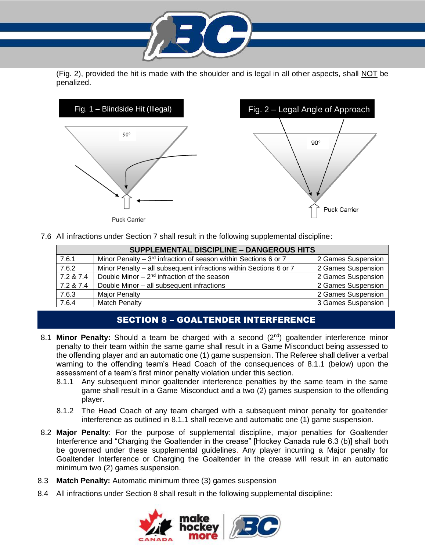(Fig. 2), provided the hit is made with the shoulder and is legal in all other aspects, shall NOT be penalized.





Puck Carrier

7.6 All infractions under Section 7 shall result in the following supplemental discipline:

| <b>SUPPLEMENTAL DISCIPLINE - DANGEROUS HITS</b> |                                                                   |                    |
|-------------------------------------------------|-------------------------------------------------------------------|--------------------|
| 7.6.1                                           | Minor Penalty – $3rd$ infraction of season within Sections 6 or 7 | 2 Games Suspension |
| 7.6.2                                           | Minor Penalty – all subsequent infractions within Sections 6 or 7 | 2 Games Suspension |
| 7.2 & 7.4                                       | Double Minor $-2^{nd}$ infraction of the season                   | 2 Games Suspension |
| 7.2 & 7.4                                       | Double Minor - all subsequent infractions                         | 2 Games Suspension |
| 7.6.3                                           | <b>Major Penalty</b>                                              | 2 Games Suspension |
| 7.6.4                                           | <b>Match Penalty</b>                                              | 3 Games Suspension |

## SECTION 8 – GOALTENDER INTERFERENCE

- 8.1 **Minor Penalty:** Should a team be charged with a second (2<sup>nd</sup>) goaltender interference minor penalty to their team within the same game shall result in a Game Misconduct being assessed to the offending player and an automatic one (1) game suspension. The Referee shall deliver a verbal warning to the offending team's Head Coach of the consequences of 8.1.1 (below) upon the assessment of a team's first minor penalty violation under this section.
	- 8.1.1 Any subsequent minor goaltender interference penalties by the same team in the same game shall result in a Game Misconduct and a two (2) games suspension to the offending player.
	- 8.1.2 The Head Coach of any team charged with a subsequent minor penalty for goaltender interference as outlined in 8.1.1 shall receive and automatic one (1) game suspension.
- 8.2 **Major Penalty**: For the purpose of supplemental discipline, major penalties for Goaltender Interference and "Charging the Goaltender in the crease" [Hockey Canada rule 6.3 (b)] shall both be governed under these supplemental guidelines. Any player incurring a Major penalty for Goaltender Interference or Charging the Goaltender in the crease will result in an automatic minimum two (2) games suspension.
- 8.3 **Match Penalty:** Automatic minimum three (3) games suspension
- 8.4 All infractions under Section 8 shall result in the following supplemental discipline:

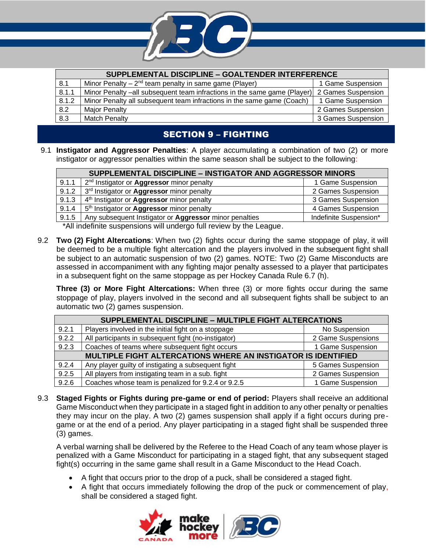

| SUPPLEMENTAL DISCIPLINE - GOALTENDER INTERFERENCE |                                                                          |                    |
|---------------------------------------------------|--------------------------------------------------------------------------|--------------------|
| 8.1                                               | Minor Penalty – $2^{nd}$ team penalty in same game (Player)              | 1 Game Suspension  |
| 8.1.1                                             | Minor Penalty –all subsequent team infractions in the same game (Player) | 2 Games Suspension |
| 8.1.2                                             | Minor Penalty all subsequent team infractions in the same game (Coach)   | 1 Game Suspension  |
| 8.2                                               | <b>Major Penalty</b>                                                     | 2 Games Suspension |
| 8.3                                               | <b>Match Penalty</b>                                                     | 3 Games Suspension |

# SECTION 9 – FIGHTING

9.1 **Instigator and Aggressor Penalties**: A player accumulating a combination of two (2) or more instigator or aggressor penalties within the same season shall be subject to the following:

| SUPPLEMENTAL DISCIPLINE - INSTIGATOR AND AGGRESSOR MINORS |                                                              |                        |
|-----------------------------------------------------------|--------------------------------------------------------------|------------------------|
| 9.1.1                                                     | 2 <sup>nd</sup> Instigator or <b>Aggressor</b> minor penalty | 1 Game Suspension      |
| 9.1.2                                                     | 3rd Instigator or <b>Aggressor</b> minor penalty             | 2 Games Suspension     |
| 9.1.3                                                     | 4 <sup>th</sup> Instigator or <b>Aggressor</b> minor penalty | 3 Games Suspension     |
| 9.1.4                                                     | 5 <sup>th</sup> Instigator or <b>Aggressor</b> minor penalty | 4 Games Suspension     |
| 9.1.5                                                     | Any subsequent Instigator or Aggressor minor penalties       | Indefinite Suspension* |
|                                                           |                                                              |                        |

\*All indefinite suspensions will undergo full review by the League.

9.2 **Two (2) Fight Altercations**: When two (2) fights occur during the same stoppage of play, it will be deemed to be a multiple fight altercation and the players involved in the subsequent fight shall be subject to an automatic suspension of two (2) games. NOTE: Two (2) Game Misconducts are assessed in accompaniment with any fighting major penalty assessed to a player that participates in a subsequent fight on the same stoppage as per Hockey Canada Rule 6.7 (h).

**Three (3) or More Fight Altercations:** When three (3) or more fights occur during the same stoppage of play, players involved in the second and all subsequent fights shall be subject to an automatic two (2) games suspension.

| SUPPLEMENTAL DISCIPLINE - MULTIPLE FIGHT ALTERCATIONS                |                                                      |                    |
|----------------------------------------------------------------------|------------------------------------------------------|--------------------|
| 9.2.1                                                                | Players involved in the initial fight on a stoppage  | No Suspension      |
| 9.2.2                                                                | All participants in subsequent fight (no-instigator) | 2 Game Suspensions |
| 9.2.3                                                                | Coaches of teams where subsequent fight occurs       | 1 Game Suspension  |
| <b>MULTIPLE FIGHT ALTERCATIONS WHERE AN INSTIGATOR IS IDENTIFIED</b> |                                                      |                    |
| 9.2.4                                                                | Any player guilty of instigating a subsequent fight  | 5 Games Suspension |
| 9.2.5                                                                | All players from instigating team in a sub. fight    | 2 Games Suspension |
| 9.2.6                                                                | Coaches whose team is penalized for 9.2.4 or 9.2.5   | 1 Game Suspension  |

9.3 **Staged Fights or Fights during pre-game or end of period:** Players shall receive an additional Game Misconduct when they participate in a staged fight in addition to any other penalty or penalties they may incur on the play. A two (2) games suspension shall apply if a fight occurs during pregame or at the end of a period. Any player participating in a staged fight shall be suspended three (3) games.

A verbal warning shall be delivered by the Referee to the Head Coach of any team whose player is penalized with a Game Misconduct for participating in a staged fight, that any subsequent staged fight(s) occurring in the same game shall result in a Game Misconduct to the Head Coach.

- A fight that occurs prior to the drop of a puck, shall be considered a staged fight.
- A fight that occurs immediately following the drop of the puck or commencement of play, shall be considered a staged fight.

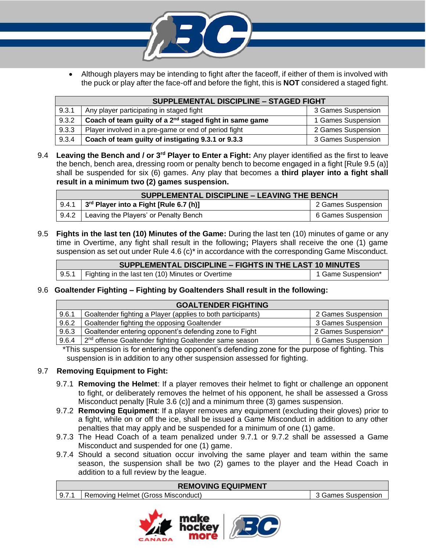

• Although players may be intending to fight after the faceoff, if either of them is involved with the puck or play after the face-off and before the fight, this is **NOT** considered a staged fight.

| <b>SUPPLEMENTAL DISCIPLINE - STAGED FIGHT</b> |                                                                     |                    |
|-----------------------------------------------|---------------------------------------------------------------------|--------------------|
| 9.3.1                                         | Any player participating in staged fight                            | 3 Games Suspension |
| 9.3.2                                         | Coach of team guilty of a 2 <sup>nd</sup> staged fight in same game | 1 Games Suspension |
| 9.3.3                                         | Player involved in a pre-game or end of period fight                | 2 Games Suspension |
| 9.3.4                                         | Coach of team guilty of instigating 9.3.1 or 9.3.3                  | 3 Games Suspension |

9.4 **Leaving the Bench and / or 3rd Player to Enter a Fight:** Any player identified as the first to leave the bench, bench area, dressing room or penalty bench to become engaged in a fight [Rule 9.5 (a)] shall be suspended for six (6) games. Any play that becomes a **third player into a fight shall result in a minimum two (2) games suspension.** 

| SUPPLEMENTAL DISCIPLINE - LEAVING THE BENCH |                                                        |                    |
|---------------------------------------------|--------------------------------------------------------|--------------------|
|                                             | 9.4.1 $\int 3^{rd}$ Player into a Fight [Rule 6.7 (h)] | 2 Games Suspension |
|                                             | 9.4.2   Leaving the Players' or Penalty Bench          | 6 Games Suspension |

9.5 **Fights in the last ten (10) Minutes of the Game:** During the last ten (10) minutes of game or any time in Overtime, any fight shall result in the following**;** Players shall receive the one (1) game suspension as set out under Rule  $4.6$  (c) $*$  in accordance with the corresponding Game Misconduct.

| SUPPLEMENTAL DISCIPLINE - FIGHTS IN THE LAST 10 MINUTES |                                                           |                    |
|---------------------------------------------------------|-----------------------------------------------------------|--------------------|
|                                                         | 9.5.1   Fighting in the last ten (10) Minutes or Overtime | 1 Game Suspension* |

9.6 **Goaltender Fighting – Fighting by Goaltenders Shall result in the following:**

| <b>GOALTENDER FIGHTING</b> |                                                                    |                     |
|----------------------------|--------------------------------------------------------------------|---------------------|
| 9.6.1                      | Goaltender fighting a Player (applies to both participants)        | 2 Games Suspension  |
| 9.6.2                      | Goaltender fighting the opposing Goaltender                        | 3 Games Suspension  |
| 9.6.3                      | Goaltender entering opponent's defending zone to Fight             | 2 Games Suspension* |
| 9.6.4                      | 2 <sup>nd</sup> offense Goaltender fighting Goaltender same season | 6 Games Suspension  |
|                            | ____                                                               | ____                |

\*This suspension is for entering the opponent's defending zone for the purpose of fighting. This suspension is in addition to any other suspension assessed for fighting.

#### 9.7 **Removing Equipment to Fight:**

- 9.7.1 **Removing the Helmet**: If a player removes their helmet to fight or challenge an opponent to fight, or deliberately removes the helmet of his opponent, he shall be assessed a Gross Misconduct penalty [Rule 3.6 (c)] and a minimum three (3) games suspension.
- 9.7.2 **Removing Equipment**: If a player removes any equipment (excluding their gloves) prior to a fight, while on or off the ice, shall be issued a Game Misconduct in addition to any other penalties that may apply and be suspended for a minimum of one (1) game.
- 9.7.3 The Head Coach of a team penalized under 9.7.1 or 9.7.2 shall be assessed a Game Misconduct and suspended for one (1) game.
- 9.7.4 Should a second situation occur involving the same player and team within the same season, the suspension shall be two (2) games to the player and the Head Coach in addition to a full review by the league.

|  | <b>REMOVING EQUIPMENT</b> |
|--|---------------------------|
|--|---------------------------|

| 9.7.1   Removing Helmet (Gross Misconduct) | 3 Games Suspension |
|--------------------------------------------|--------------------|
|                                            |                    |

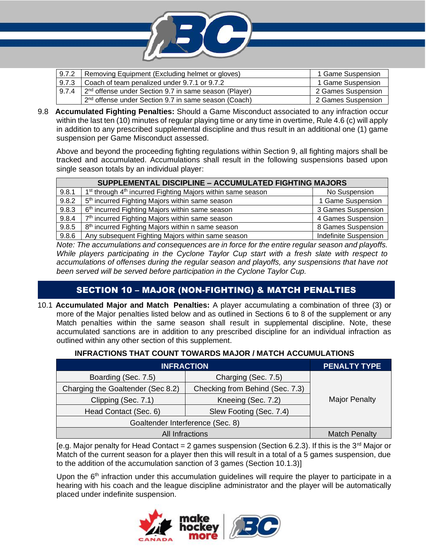

|       | 9.7.2   Removing Equipment (Excluding helmet or gloves)                   | 1 Game Suspension  |
|-------|---------------------------------------------------------------------------|--------------------|
| 9.7.3 | Coach of team penalized under 9.7.1 or 9.7.2                              | 1 Game Suspension  |
| 9.7.4 | $\vert$ 2 <sup>nd</sup> offense under Section 9.7 in same season (Player) | 2 Games Suspension |
|       | 1 2 <sup>nd</sup> offense under Section 9.7 in same season (Coach)        | 2 Games Suspension |

9.8 **Accumulated Fighting Penalties:** Should a Game Misconduct associated to any infraction occur within the last ten (10) minutes of regular playing time or any time in overtime, Rule 4.6 (c) will apply in addition to any prescribed supplemental discipline and thus result in an additional one (1) game suspension per Game Misconduct assessed.

Above and beyond the proceeding fighting regulations within Section 9, all fighting majors shall be tracked and accumulated. Accumulations shall result in the following suspensions based upon single season totals by an individual player:

|       | SUPPLEMENTAL DISCIPLINE - ACCUMULATED FIGHTING MAJORS                               |                       |  |  |
|-------|-------------------------------------------------------------------------------------|-----------------------|--|--|
| 9.8.1 | 1 <sup>st</sup> through 4 <sup>th</sup> incurred Fighting Majors within same season | No Suspension         |  |  |
| 9.8.2 | 5 <sup>th</sup> incurred Fighting Majors within same season                         | 1 Game Suspension     |  |  |
| 9.8.3 | 6 <sup>th</sup> incurred Fighting Majors within same season                         | 3 Games Suspension    |  |  |
| 9.8.4 | 7 <sup>th</sup> incurred Fighting Majors within same season                         | 4 Games Suspension    |  |  |
| 9.8.5 | 8 <sup>th</sup> incurred Fighting Majors within n same season                       | 8 Games Suspension    |  |  |
| 9.8.6 | Any subsequent Fighting Majors within same season                                   | Indefinite Suspension |  |  |

*Note: The accumulations and consequences are in force for the entire regular season and playoffs. While players participating in the Cyclone Taylor Cup start with a fresh slate with respect to accumulations of offenses during the regular season and playoffs, any suspensions that have not been served will be served before participation in the Cyclone Taylor Cup.*

# SECTION 10 – MAJOR (NON-FIGHTING) & MATCH PENALTIES

10.1 **Accumulated Major and Match Penalties:** A player accumulating a combination of three (3) or more of the Major penalties listed below and as outlined in Sections 6 to 8 of the supplement or any Match penalties within the same season shall result in supplemental discipline. Note, these accumulated sanctions are in addition to any prescribed discipline for an individual infraction as outlined within any other section of this supplement.

#### **INFRACTIONS THAT COUNT TOWARDS MAJOR / MATCH ACCUMULATIONS**

| <b>INFRACTION</b>                 |                                 | <b>PENALTY TYPE</b>  |
|-----------------------------------|---------------------------------|----------------------|
| Boarding (Sec. 7.5)               | Charging (Sec. 7.5)             |                      |
| Charging the Goaltender (Sec 8.2) | Checking from Behind (Sec. 7.3) |                      |
| Clipping (Sec. 7.1)               | Kneeing (Sec. 7.2)              | <b>Major Penalty</b> |
| Head Contact (Sec. 6)             | Slew Footing (Sec. 7.4)         |                      |
| Goaltender Interference (Sec. 8)  |                                 |                      |
| <b>All Infractions</b>            |                                 | <b>Match Penalty</b> |

[e.g. Major penalty for Head Contact = 2 games suspension (Section 6.2.3). If this is the 3<sup>rd</sup> Major or Match of the current season for a player then this will result in a total of a 5 games suspension, due to the addition of the accumulation sanction of 3 games (Section 10.1.3)]

Upon the  $6<sup>th</sup>$  infraction under this accumulation guidelines will require the player to participate in a hearing with his coach and the league discipline administrator and the player will be automatically placed under indefinite suspension.

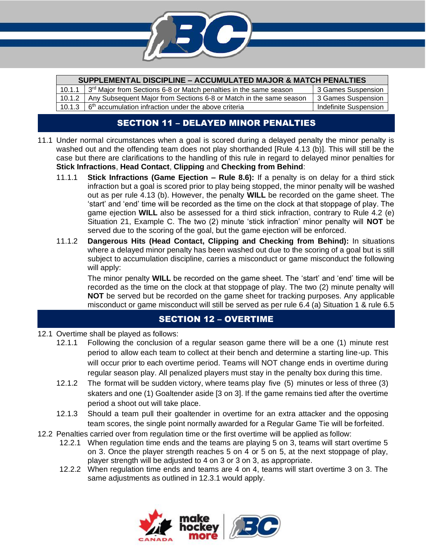

| <b>SUPPLEMENTAL DISCIPLINE - ACCUMULATED MAJOR &amp; MATCH PENALTIES</b> |                                                                               |                       |  |
|--------------------------------------------------------------------------|-------------------------------------------------------------------------------|-----------------------|--|
| 10.1.1                                                                   | 3 <sup>rd</sup> Major from Sections 6-8 or Match penalties in the same season | 3 Games Suspension    |  |
|                                                                          | 10.1.2   Any Subsequent Major from Sections 6-8 or Match in the same season   | 3 Games Suspension    |  |
|                                                                          | 10.1.3 $\mid 6^{th}$ accumulation infraction under the above criteria         | Indefinite Suspension |  |

## SECTION 11 – DELAYED MINOR PENALTIES

- 11.1 Under normal circumstances when a goal is scored during a delayed penalty the minor penalty is washed out and the offending team does not play shorthanded [Rule 4.13 (b)]. This will still be the case but there are clarifications to the handling of this rule in regard to delayed minor penalties for **Stick Infractions**, **Head Contact**, **Clipping** and **Checking from Behind**:
	- 11.1.1 **Stick Infractions (Game Ejection – Rule 8.6):** If a penalty is on delay for a third stick infraction but a goal is scored prior to play being stopped, the minor penalty will be washed out as per rule 4.13 (b). However, the penalty **WILL** be recorded on the game sheet. The 'start' and 'end' time will be recorded as the time on the clock at that stoppage of play. The game ejection **WILL** also be assessed for a third stick infraction, contrary to Rule 4.2 (e) Situation 21, Example C. The two (2) minute 'stick infraction' minor penalty will **NOT** be served due to the scoring of the goal, but the game ejection will be enforced.
	- 11.1.2 **Dangerous Hits (Head Contact, Clipping and Checking from Behind):** In situations where a delayed minor penalty has been washed out due to the scoring of a goal but is still subject to accumulation discipline, carries a misconduct or game misconduct the following will apply:

The minor penalty **WILL** be recorded on the game sheet. The 'start' and 'end' time will be recorded as the time on the clock at that stoppage of play. The two (2) minute penalty will **NOT** be served but be recorded on the game sheet for tracking purposes. Any applicable misconduct or game misconduct will still be served as per rule 6.4 (a) Situation 1 & rule 6.5

## SECTION 12 – OVERTIME

- 12.1 Overtime shall be played as follows:
	- 12.1.1 Following the conclusion of a regular season game there will be a one (1) minute rest period to allow each team to collect at their bench and determine a starting line-up. This will occur prior to each overtime period. Teams will NOT change ends in overtime during regular season play. All penalized players must stay in the penalty box during this time.
	- 12.1.2 The format will be sudden victory, where teams play five (5) minutes or less of three (3) skaters and one (1) Goaltender aside [3 on 3]. If the game remains tied after the overtime period a shoot out will take place.
	- 12.1.3 Should a team pull their goaltender in overtime for an extra attacker and the opposing team scores, the single point normally awarded for a Regular Game Tie will be forfeited.
- 12.2 Penalties carried over from regulation time or the first overtime will be applied as follow:
	- 12.2.1 When regulation time ends and the teams are playing 5 on 3, teams will start overtime 5 on 3. Once the player strength reaches 5 on 4 or 5 on 5, at the next stoppage of play, player strength will be adjusted to 4 on 3 or 3 on 3, as appropriate.
	- 12.2.2 When regulation time ends and teams are 4 on 4, teams will start overtime 3 on 3. The same adjustments as outlined in 12.3.1 would apply.

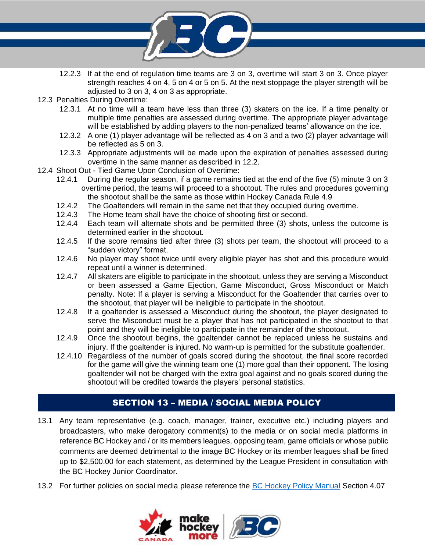

- 12.2.3 If at the end of regulation time teams are 3 on 3, overtime will start 3 on 3. Once player strength reaches 4 on 4, 5 on 4 or 5 on 5. At the next stoppage the player strength will be adjusted to 3 on 3, 4 on 3 as appropriate.
- 12.3 Penalties During Overtime:
	- 12.3.1 At no time will a team have less than three (3) skaters on the ice. If a time penalty or multiple time penalties are assessed during overtime. The appropriate player advantage will be established by adding players to the non-penalized teams' allowance on the ice.
	- 12.3.2 A one (1) player advantage will be reflected as 4 on 3 and a two (2) player advantage will be reflected as 5 on 3.
	- 12.3.3 Appropriate adjustments will be made upon the expiration of penalties assessed during overtime in the same manner as described in 12.2.
- 12.4 Shoot Out Tied Game Upon Conclusion of Overtime:
	- 12.4.1 During the regular season, if a game remains tied at the end of the five (5) minute 3 on 3 overtime period, the teams will proceed to a shootout. The rules and procedures governing the shootout shall be the same as those within Hockey Canada Rule 4.9
	- 12.4.2 The Goaltenders will remain in the same net that they occupied during overtime.
	- 12.4.3 The Home team shall have the choice of shooting first or second.
	- 12.4.4 Each team will alternate shots and be permitted three (3) shots, unless the outcome is determined earlier in the shootout.
	- 12.4.5 If the score remains tied after three (3) shots per team, the shootout will proceed to a "sudden victory" format.
	- 12.4.6 No player may shoot twice until every eligible player has shot and this procedure would repeat until a winner is determined.
	- 12.4.7 All skaters are eligible to participate in the shootout, unless they are serving a Misconduct or been assessed a Game Ejection, Game Misconduct, Gross Misconduct or Match penalty. Note: If a player is serving a Misconduct for the Goaltender that carries over to the shootout, that player will be ineligible to participate in the shootout.
	- 12.4.8 If a goaltender is assessed a Misconduct during the shootout, the player designated to serve the Misconduct must be a player that has not participated in the shootout to that point and they will be ineligible to participate in the remainder of the shootout.
	- 12.4.9 Once the shootout begins, the goaltender cannot be replaced unless he sustains and injury. If the goaltender is injured. No warm-up is permitted for the substitute goaltender.
	- 12.4.10 Regardless of the number of goals scored during the shootout, the final score recorded for the game will give the winning team one (1) more goal than their opponent. The losing goaltender will not be charged with the extra goal against and no goals scored during the shootout will be credited towards the players' personal statistics.

# SECTION 13 – MEDIA / SOCIAL MEDIA POLICY

- 13.1 Any team representative (e.g. coach, manager, trainer, executive etc.) including players and broadcasters, who make derogatory comment(s) to the media or on social media platforms in reference BC Hockey and / or its members leagues, opposing team, game officials or whose public comments are deemed detrimental to the image BC Hockey or its member leagues shall be fined up to \$2,500.00 for each statement, as determined by the League President in consultation with the BC Hockey Junior Coordinator.
- 13.2 For further policies on social media please reference the [BC Hockey Policy Manual](https://www.bchockey.net/Files/2019-2020%20Policy%20Final%20-%20Web%20Version%202019-11-14%20FINAL.pdf) Section 4.07

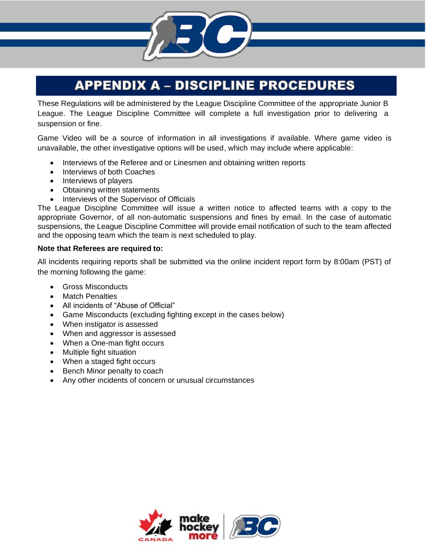# **APPENDIX A - DISCIPLINE PROCEDURES**

These Regulations will be administered by the League Discipline Committee of the appropriate Junior B League. The League Discipline Committee will complete a full investigation prior to delivering a suspension or fine.

Game Video will be a source of information in all investigations if available. Where game video is unavailable, the other investigative options will be used, which may include where applicable:

- Interviews of the Referee and or Linesmen and obtaining written reports
- Interviews of both Coaches
- Interviews of players
- Obtaining written statements
- Interviews of the Supervisor of Officials

The League Discipline Committee will issue a written notice to affected teams with a copy to the appropriate Governor, of all non-automatic suspensions and fines by email. In the case of automatic suspensions, the League Discipline Committee will provide email notification of such to the team affected and the opposing team which the team is next scheduled to play.

#### **Note that Referees are required to:**

All incidents requiring reports shall be submitted via the online incident report form by 8:00am (PST) of the morning following the game:

- Gross Misconducts
- Match Penalties
- All incidents of "Abuse of Official"
- Game Misconducts (excluding fighting except in the cases below)
- When instigator is assessed
- When and aggressor is assessed
- When a One-man fight occurs
- Multiple fight situation
- When a staged fight occurs
- Bench Minor penalty to coach
- Any other incidents of concern or unusual circumstances

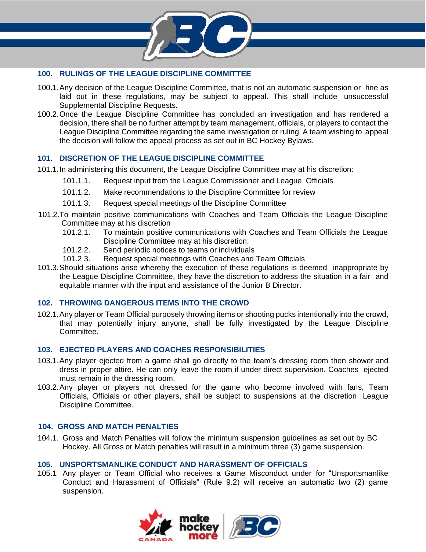

#### **100. RULINGS OF THE LEAGUE DISCIPLINE COMMITTEE**

- 100.1.Any decision of the League Discipline Committee, that is not an automatic suspension or fine as laid out in these regulations, may be subject to appeal. This shall include unsuccessful Supplemental Discipline Requests.
- 100.2.Once the League Discipline Committee has concluded an investigation and has rendered a decision, there shall be no further attempt by team management, officials, or players to contact the League Discipline Committee regarding the same investigation or ruling. A team wishing to appeal the decision will follow the appeal process as set out in BC Hockey Bylaws.

#### **101. DISCRETION OF THE LEAGUE DISCIPLINE COMMITTEE**

- 101.1.In administering this document, the League Discipline Committee may at his discretion:
	- 101.1.1. Request input from the League Commissioner and League Officials
	- 101.1.2. Make recommendations to the Discipline Committee for review
	- 101.1.3. Request special meetings of the Discipline Committee
- 101.2.To maintain positive communications with Coaches and Team Officials the League Discipline Committee may at his discretion
	- 101.2.1. To maintain positive communications with Coaches and Team Officials the League Discipline Committee may at his discretion:<br>101.2.2. Send periodic notices to teams or individuals
	- Send periodic notices to teams or individuals
	- 101.2.3. Request special meetings with Coaches and Team Officials
- 101.3.Should situations arise whereby the execution of these regulations is deemed inappropriate by the League Discipline Committee, they have the discretion to address the situation in a fair and equitable manner with the input and assistance of the Junior B Director.

#### **102. THROWING DANGEROUS ITEMS INTO THE CROWD**

102.1.Any player or Team Official purposely throwing items or shooting pucks intentionally into the crowd, that may potentially injury anyone, shall be fully investigated by the League Discipline Committee.

#### **103. EJECTED PLAYERS AND COACHES RESPONSIBILITIES**

- 103.1.Any player ejected from a game shall go directly to the team's dressing room then shower and dress in proper attire. He can only leave the room if under direct supervision. Coaches ejected must remain in the dressing room.
- 103.2.Any player or players not dressed for the game who become involved with fans, Team Officials, Officials or other players, shall be subject to suspensions at the discretion League Discipline Committee.

#### **104. GROSS AND MATCH PENALTIES**

104.1. Gross and Match Penalties will follow the minimum suspension guidelines as set out by BC Hockey. All Gross or Match penalties will result in a minimum three (3) game suspension.

#### **105. UNSPORTSMANLIKE CONDUCT AND HARASSMENT OF OFFICIALS**

105.1 Any player or Team Official who receives a Game Misconduct under for "Unsportsmanlike Conduct and Harassment of Officials" (Rule 9.2) will receive an automatic two (2) game suspension.

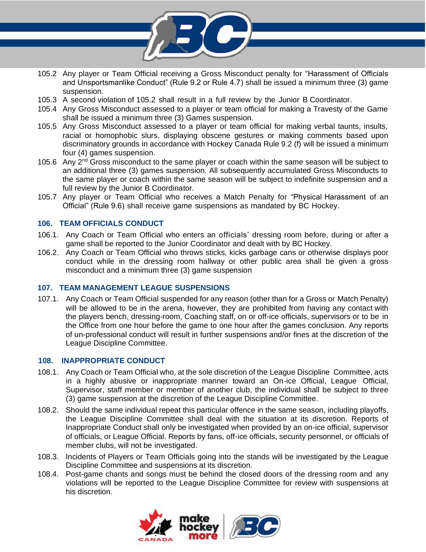

- 105.2 Any player or Team Official receiving a Gross Misconduct penalty for "Harassment of Officials and Unsportsmanlike Conduct" (Rule 9.2 or Rule 4.7) shall be issued a minimum three (3) game suspension.
- 105.3 A second violation of 105.2 shall result in a full review by the Junior B Coordinator.
- 105.4 Any Gross Misconduct assessed to a player or team official for making a Travesty of the Game shall be issued a minimum three (3) Games suspension.
- 105.5 Any Gross Misconduct assessed to a player or team official for making verbal taunts, insults, racial or homophobic slurs, displaying obscene gestures or making comments based upon discriminatory grounds in accordance with Hockey Canada Rule 9.2 (f) will be issued a minimum four (4) games suspension.
- 105.6 Any  $2<sup>nd</sup>$  Gross misconduct to the same player or coach within the same season will be subject to an additional three (3) games suspension. All subsequently accumulated Gross Misconducts to the same player or coach within the same season will be subject to indefinite suspension and a full review by the Junior B Coordinator.
- 105.7 Any player or Team Official who receives a Match Penalty for "Physical Harassment of an Official" (Rule 9.6) shall receive game suspensions as mandated by BC Hockey.

#### **106. TEAM OFFICIALS CONDUCT**

- 106.1. Any Coach or Team Official who enters an officials' dressing room before, during or after a game shall be reported to the Junior Coordinator and dealt with by BC Hockey.
- 106.2. Any Coach or Team Official who throws sticks, kicks garbage cans or otherwise displays poor conduct while in the dressing room hallway or other public area shall be given a gross misconduct and a minimum three (3) game suspension

#### **107. TEAM MANAGEMENT LEAGUE SUSPENSIONS**

107.1. Any Coach or Team Official suspended for any reason (other than for a Gross or Match Penalty) will be allowed to be in the arena, however, they are prohibited from having any contact with the players bench, dressing-room, Coaching staff, on or off-ice officials, supervisors or to be in the Office from one hour before the game to one hour after the games conclusion. Any reports of un-professional conduct will result in further suspensions and/or fines at the discretion of the League Discipline Committee.

#### **108. INAPPROPRIATE CONDUCT**

- 108.1. Any Coach or Team Official who, at the sole discretion of the League Discipline Committee, acts in a highly abusive or inappropriate manner toward an On-ice Official, League Official, Supervisor, staff member or member of another club, the individual shall be subject to three (3) game suspension at the discretion of the League Discipline Committee.
- 108.2. Should the same individual repeat this particular offence in the same season, including playoffs, the League Discipline Committee shall deal with the situation at its discretion. Reports of Inappropriate Conduct shall only be investigated when provided by an on-ice official, supervisor of officials, or League Official. Reports by fans, off-ice officials, security personnel, or officials of member clubs, will not be investigated.
- 108.3. Incidents of Players or Team Officials going into the stands will be investigated by the League Discipline Committee and suspensions at its discretion.
- 108.4. Post-game chants and songs must be behind the closed doors of the dressing room and any violations will be reported to the League Discipline Committee for review with suspensions at his discretion.

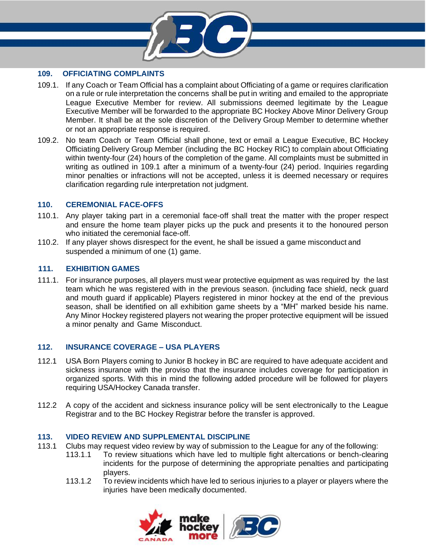

#### **109. OFFICIATING COMPLAINTS**

- 109.1. If any Coach or Team Official has a complaint about Officiating of a game or requires clarification on a rule or rule interpretation the concerns shall be put in writing and emailed to the appropriate League Executive Member for review. All submissions deemed legitimate by the League Executive Member will be forwarded to the appropriate BC Hockey Above Minor Delivery Group Member. It shall be at the sole discretion of the Delivery Group Member to determine whether or not an appropriate response is required.
- 109.2. No team Coach or Team Official shall phone, text or email a League Executive, BC Hockey Officiating Delivery Group Member (including the BC Hockey RIC) to complain about Officiating within twenty-four (24) hours of the completion of the game. All complaints must be submitted in writing as outlined in 109.1 after a minimum of a twenty-four (24) period. Inquiries regarding minor penalties or infractions will not be accepted, unless it is deemed necessary or requires clarification regarding rule interpretation not judgment.

#### **110. CEREMONIAL FACE-OFFS**

- 110.1. Any player taking part in a ceremonial face-off shall treat the matter with the proper respect and ensure the home team player picks up the puck and presents it to the honoured person who initiated the ceremonial face-off.
- 110.2. If any player shows disrespect for the event, he shall be issued a game misconduct and suspended a minimum of one (1) game.

#### **111.****EXHIBITION GAMES**

111.1. For insurance purposes, all players must wear protective equipment as was required by the last team which he was registered with in the previous season. (including face shield, neck guard and mouth guard if applicable) Players registered in minor hockey at the end of the previous season, shall be identified on all exhibition game sheets by a "MH" marked beside his name. Any Minor Hockey registered players not wearing the proper protective equipment will be issued a minor penalty and Game Misconduct.

#### **112. INSURANCE COVERAGE – USA PLAYERS**

- 112.1 USA Born Players coming to Junior B hockey in BC are required to have adequate accident and sickness insurance with the proviso that the insurance includes coverage for participation in organized sports. With this in mind the following added procedure will be followed for players requiring USA/Hockey Canada transfer.
- 112.2 A copy of the accident and sickness insurance policy will be sent electronically to the League Registrar and to the BC Hockey Registrar before the transfer is approved.

#### **113. VIDEO REVIEW AND SUPPLEMENTAL DISCIPLINE**

- 113.1 Clubs may request video review by way of submission to the League for any of the following:
	- 113.1.1 To review situations which have led to multiple fight altercations or bench-clearing incidents for the purpose of determining the appropriate penalties and participating players.
	- 113.1.2 To review incidents which have led to serious injuries to a player or players where the injuries have been medically documented.

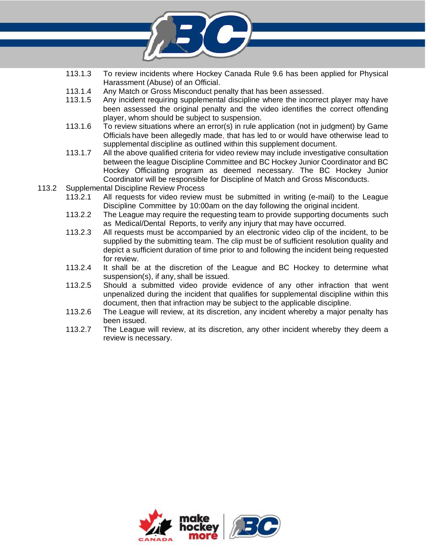

- 113.1.3 To review incidents where Hockey Canada Rule 9.6 has been applied for Physical Harassment (Abuse) of an Official.
- 113.1.4 Any Match or Gross Misconduct penalty that has been assessed.
- 113.1.5 Any incident requiring supplemental discipline where the incorrect player may have been assessed the original penalty and the video identifies the correct offending player, whom should be subject to suspension.
- 113.1.6 To review situations where an error(s) in rule application (not in judgment) by Game Officials have been allegedly made, that has led to or would have otherwise lead to supplemental discipline as outlined within this supplement document.
- 113.1.7 All the above qualified criteria for video review may include investigative consultation between the league Discipline Committee and BC Hockey Junior Coordinator and BC Hockey Officiating program as deemed necessary. The BC Hockey Junior Coordinator will be responsible for Discipline of Match and Gross Misconducts.
- 113.2 Supplemental Discipline Review Process
	- 113.2.1 All requests for video review must be submitted in writing (e-mail) to the League Discipline Committee by 10:00am on the day following the original incident.
	- 113.2.2 The League may require the requesting team to provide supporting documents such as Medical/Dental Reports, to verify any injury that may have occurred.
	- 113.2.3 All requests must be accompanied by an electronic video clip of the incident, to be supplied by the submitting team. The clip must be of sufficient resolution quality and depict a sufficient duration of time prior to and following the incident being requested for review.
	- 113.2.4 It shall be at the discretion of the League and BC Hockey to determine what suspension(s), if any, shall be issued.
	- 113.2.5 Should a submitted video provide evidence of any other infraction that went unpenalized during the incident that qualifies for supplemental discipline within this document, then that infraction may be subject to the applicable discipline.
	- 113.2.6 The League will review, at its discretion, any incident whereby a major penalty has been issued.
	- 113.2.7 The League will review, at its discretion, any other incident whereby they deem a review is necessary.

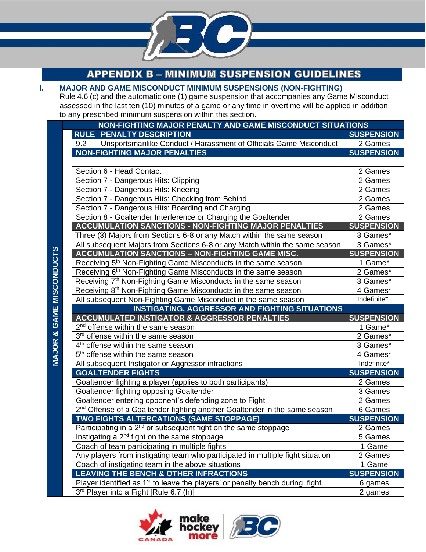

**APPENDIX B - MINIMUM SUSPENSION GUIDELINES** 

| I.                                                        | <b>MAJOR AND GAME MISCONDUCT MINIMUM SUSPENSIONS (NON-FIGHTING)</b>                                 |                   |  |  |  |  |
|-----------------------------------------------------------|-----------------------------------------------------------------------------------------------------|-------------------|--|--|--|--|
|                                                           | Rule 4.6 (c) and the automatic one (1) game suspension that accompanies any Game Misconduct         |                   |  |  |  |  |
|                                                           | assessed in the last ten (10) minutes of a game or any time in overtime will be applied in addition |                   |  |  |  |  |
| to any prescribed minimum suspension within this section. |                                                                                                     |                   |  |  |  |  |
|                                                           | NON-FIGHTING MAJOR PENALTY AND GAME MISCONDUCT SITUATIONS                                           |                   |  |  |  |  |
|                                                           | <b>RULE PENALTY DESCRIPTION</b>                                                                     | <b>SUSPENSION</b> |  |  |  |  |
|                                                           | Unsportsmanlike Conduct / Harassment of Officials Game Misconduct<br>9.2                            | 2 Games           |  |  |  |  |
|                                                           | <b>NON-FIGHTING MAJOR PENALTIES</b>                                                                 | <b>SUSPENSION</b> |  |  |  |  |
|                                                           |                                                                                                     |                   |  |  |  |  |
|                                                           | Section 6 - Head Contact                                                                            | 2 Games           |  |  |  |  |
|                                                           | Section 7 - Dangerous Hits: Clipping                                                                | 2 Games           |  |  |  |  |
|                                                           | Section 7 - Dangerous Hits: Kneeing                                                                 | 2 Games           |  |  |  |  |
|                                                           | Section 7 - Dangerous Hits: Checking from Behind                                                    | 2 Games           |  |  |  |  |
|                                                           | Section 7 - Dangerous Hits: Boarding and Charging                                                   | 2 Games           |  |  |  |  |
|                                                           | Section 8 - Goaltender Interference or Charging the Goaltender                                      | 2 Games           |  |  |  |  |
|                                                           | <b>ACCUMULATION SANCTIONS - NON-FIGHTING MAJOR PENALTIES</b>                                        | <b>SUSPENSION</b> |  |  |  |  |
|                                                           | Three (3) Majors from Sections 6-8 or any Match within the same season                              | 3 Games*          |  |  |  |  |
|                                                           | All subsequent Majors from Sections 6-8 or any Match within the same season                         | 3 Games*          |  |  |  |  |
|                                                           | <b>ACCUMULATION SANCTIONS - NON-FIGHTING GAME MISC.</b>                                             | <b>SUSPENSION</b> |  |  |  |  |
|                                                           | Receiving 5 <sup>th</sup> Non-Fighting Game Misconducts in the same season                          | 1 Game*           |  |  |  |  |
|                                                           | Receiving 6 <sup>th</sup> Non-Fighting Game Misconducts in the same season                          | 2 Games*          |  |  |  |  |
|                                                           | Receiving 7 <sup>th</sup> Non-Fighting Game Misconducts in the same season                          | 3 Games*          |  |  |  |  |
|                                                           | Receiving 8 <sup>th</sup> Non-Fighting Game Misconducts in the same season                          | 4 Games*          |  |  |  |  |
|                                                           | All subsequent Non-Fighting Game Misconduct in the same season                                      | Indefinite*       |  |  |  |  |
| <b>MAJOR &amp; GAME MISCONDUCTS</b>                       | <b>INSTIGATING, AGGRESSOR AND FIGHTING SITUATIONS</b>                                               |                   |  |  |  |  |
|                                                           | <b>ACCUMULATED INSTIGATOR &amp; AGGRESSOR PENALTIES</b>                                             | <b>SUSPENSION</b> |  |  |  |  |
|                                                           | 2 <sup>nd</sup> offense within the same season                                                      | 1 Game*           |  |  |  |  |
|                                                           | 3rd offense within the same season                                                                  | 2 Games*          |  |  |  |  |
|                                                           | 4 <sup>th</sup> offense within the same season                                                      | 3 Games*          |  |  |  |  |
|                                                           | 5 <sup>th</sup> offense within the same season                                                      | 4 Games*          |  |  |  |  |
|                                                           | All subsequent Instigator or Aggressor infractions                                                  | Indefinite*       |  |  |  |  |
|                                                           | <b>GOALTENDER FIGHTS</b>                                                                            | <b>SUSPENSION</b> |  |  |  |  |
|                                                           | Goaltender fighting a player (applies to both participants)                                         | 2 Games           |  |  |  |  |
|                                                           | Goaltender fighting opposing Goaltender                                                             | 3 Games           |  |  |  |  |
|                                                           | Goaltender entering opponent's defending zone to Fight                                              | 2 Games           |  |  |  |  |
|                                                           | 2 <sup>nd</sup> Offense of a Goaltender fighting another Goaltender in the same season              | 6 Games           |  |  |  |  |
|                                                           | <b>TWO FIGHTS ALTERCATIONS (SAME STOPPAGE)</b>                                                      | <b>SUSPENSION</b> |  |  |  |  |
|                                                           | Participating in a $2^{nd}$ or subsequent fight on the same stoppage                                | 2 Games           |  |  |  |  |
|                                                           | Instigating a 2 <sup>nd</sup> fight on the same stoppage                                            | 5 Games           |  |  |  |  |
|                                                           | Coach of team participating in multiple fights                                                      | 1 Game            |  |  |  |  |
|                                                           | Any players from instigating team who participated in multiple fight situation                      | 2 Games           |  |  |  |  |
|                                                           | Coach of instigating team in the above situations                                                   | 1 Game            |  |  |  |  |
|                                                           | <b>LEAVING THE BENCH &amp; OTHER INFRACTIONS</b>                                                    | <b>SUSPENSION</b> |  |  |  |  |
|                                                           | Player identified as $1st$ to leave the players' or penalty bench during fight.                     | 6 games           |  |  |  |  |
|                                                           | 3rd Player into a Fight [Rule 6.7 (h)]                                                              | 2 games           |  |  |  |  |

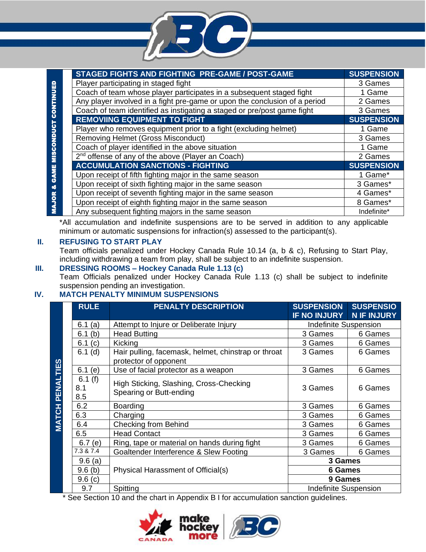

|                   | STAGED FIGHTS AND FIGHTING PRE-GAME / POST-GAME                            | <b>SUSPENSION</b> |
|-------------------|----------------------------------------------------------------------------|-------------------|
|                   | Player participating in staged fight                                       | 3 Games           |
| <b>CONTINUED</b>  | Coach of team whose player participates in a subsequent staged fight       | 1 Game            |
|                   | Any player involved in a fight pre-game or upon the conclusion of a period | 2 Games           |
|                   | Coach of team identified as instigating a staged or pre/post game fight    | 3 Games           |
|                   | <b>REMOVIING EQUIPMENT TO FIGHT</b>                                        | <b>SUSPENSION</b> |
| & GAME MISCONDUCT | Player who removes equipment prior to a fight (excluding helmet)           | 1 Game            |
|                   | <b>Removing Helmet (Gross Misconduct)</b>                                  | 3 Games           |
|                   | Coach of player identified in the above situation                          | 1 Game            |
|                   | 2 <sup>nd</sup> offense of any of the above (Player an Coach)              | 2 Games           |
|                   | <b>ACCUMULATION SANCTIONS - FIGHTING</b>                                   | <b>SUSPENSION</b> |
|                   | Upon receipt of fifth fighting major in the same season                    | 1 Game*           |
|                   | Upon receipt of sixth fighting major in the same season                    | 3 Games*          |
|                   | Upon receipt of seventh fighting major in the same season                  | 4 Games*          |
| <b>MAJOR</b>      | Upon receipt of eighth fighting major in the same season                   | 8 Games*          |
|                   | Any subsequent fighting majors in the same season                          | Indefinite*       |

\*All accumulation and indefinite suspensions are to be served in addition to any applicable minimum or automatic suspensions for infraction(s) assessed to the participant(s).

#### **II. REFUSING TO START PLAY**

Team officials penalized under Hockey Canada Rule 10.14 (a, b & c), Refusing to Start Play, including withdrawing a team from play, shall be subject to an indefinite suspension.

#### **III. DRESSING ROOMS – Hockey Canada Rule 1.13 (c)**

Team Officials penalized under Hockey Canada Rule 1.13 (c) shall be subject to indefinite suspension pending an investigation.

#### **IV. MATCH PENALTY MINIMUM SUSPENSIONS**

|                        | <b>RULE</b>          | <b>PENALTY DESCRIPTION</b>                                                   | <b>SUSPENSION</b>            | <b>SUSPENSIO</b>   |
|------------------------|----------------------|------------------------------------------------------------------------------|------------------------------|--------------------|
|                        |                      |                                                                              | <b>IF NO INJURY</b>          | <b>N IF INJURY</b> |
|                        | 6.1 $(a)$            | Attempt to Injure or Deliberate Injury                                       | <b>Indefinite Suspension</b> |                    |
|                        | 6.1 $(b)$            | <b>Head Butting</b>                                                          | 3 Games                      | 6 Games            |
|                        | 6.1 $(c)$            | Kicking                                                                      | 3 Games                      | 6 Games            |
|                        | $6.1$ (d)            | Hair pulling, facemask, helmet, chinstrap or throat<br>protector of opponent | 3 Games                      | 6 Games            |
|                        | 6.1 $(e)$            | Use of facial protector as a weapon                                          | 3 Games                      | 6 Games            |
| <b>MATCH PENALTIES</b> | 6.1(f)<br>8.1<br>8.5 | High Sticking, Slashing, Cross-Checking<br>Spearing or Butt-ending           | 3 Games                      | 6 Games            |
|                        | 6.2                  | Boarding                                                                     | 3 Games                      | 6 Games            |
|                        | 6.3                  | Charging                                                                     | 3 Games                      | 6 Games            |
|                        | 6.4                  | <b>Checking from Behind</b>                                                  | 3 Games                      | 6 Games            |
|                        | 6.5                  | <b>Head Contact</b>                                                          | 3 Games                      | 6 Games            |
|                        | 6.7(e)               | Ring, tape or material on hands during fight                                 | 3 Games                      | 6 Games            |
|                        | 7.3 & 7.4            | Goaltender Interference & Slew Footing                                       | 3 Games                      | 6 Games            |
|                        | 9.6(a)               |                                                                              | 3 Games                      |                    |
|                        | $9.6$ (b)            | Physical Harassment of Official(s)                                           | <b>6 Games</b>               |                    |
|                        | 9.6(c)               |                                                                              | 9 Games                      |                    |
|                        | 9.7                  | Spitting                                                                     | <b>Indefinite Suspension</b> |                    |

\* See Section 10 and the chart in Appendix B I for accumulation sanction guidelines.

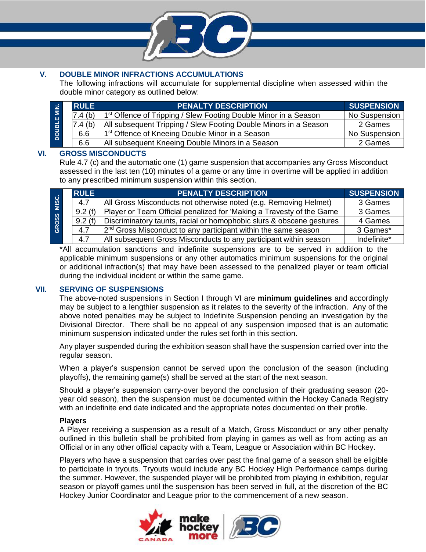

#### **V. DOUBLE MINOR INFRACTIONS ACCUMULATIONS**

The following infractions will accumulate for supplemental discipline when assessed within the double minor category as outlined below:

| <b>DOUBLE</b> | <b>RULE</b>        | <b>PENALTY DESCRIPTION</b>                                                  | <b>SUSPENSION</b> |
|---------------|--------------------|-----------------------------------------------------------------------------|-------------------|
|               | 7.4 <sub>(b)</sub> | 1 <sup>st</sup> Offence of Tripping / Slew Footing Double Minor in a Season | No Suspension     |
|               | 7.4(b)             | All subsequent Tripping / Slew Footing Double Minors in a Season            | 2 Games           |
|               | 6.6                | 1 <sup>st</sup> Offence of Kneeing Double Minor in a Season                 | No Suspension     |
|               | 6.6                | All subsequent Kneeing Double Minors in a Season                            | 2 Games           |

#### **VI. GROSS MISCONDUCTS**

Rule 4.7 (c) and the automatic one (1) game suspension that accompanies any Gross Misconduct assessed in the last ten (10) minutes of a game or any time in overtime will be applied in addition to any prescribed minimum suspension within this section.

| MISC.<br><b>GROSS</b> | <b>RULE</b> | <b>PENALTY DESCRIPTION</b>                                                 | <b>SUSPENSION</b> |
|-----------------------|-------------|----------------------------------------------------------------------------|-------------------|
|                       | 4.7         | All Gross Misconducts not otherwise noted (e.g. Removing Helmet)           | 3 Games           |
|                       | 9.2(f)      | Player or Team Official penalized for 'Making a Travesty of the Game       | 3 Games           |
|                       | 9.2(f)      | Discriminatory taunts, racial or homophobic slurs & obscene gestures       | 4 Games           |
|                       | 4.7         | 2 <sup>nd</sup> Gross Misconduct to any participant within the same season | 3 Games*          |
|                       | 4.7         | All subsequent Gross Misconducts to any participant within season          | Indefinite*       |

\*All accumulation sanctions and indefinite suspensions are to be served in addition to the applicable minimum suspensions or any other automatics minimum suspensions for the original or additional infraction(s) that may have been assessed to the penalized player or team official during the individual incident or within the same game.

#### **VII. SERVING OF SUSPENSIONS**

The above-noted suspensions in Section I through VI are **minimum guidelines** and accordingly may be subject to a lengthier suspension as it relates to the severity of the infraction. Any of the above noted penalties may be subject to Indefinite Suspension pending an investigation by the Divisional Director. There shall be no appeal of any suspension imposed that is an automatic minimum suspension indicated under the rules set forth in this section.

Any player suspended during the exhibition season shall have the suspension carried over into the regular season.

When a player's suspension cannot be served upon the conclusion of the season (including playoffs), the remaining game(s) shall be served at the start of the next season.

Should a player's suspension carry-over beyond the conclusion of their graduating season (20 year old season), then the suspension must be documented within the Hockey Canada Registry with an indefinite end date indicated and the appropriate notes documented on their profile.

#### **Players**

A Player receiving a suspension as a result of a Match, Gross Misconduct or any other penalty outlined in this bulletin shall be prohibited from playing in games as well as from acting as an Official or in any other official capacity with a Team, League or Association within BC Hockey.

Players who have a suspension that carries over past the final game of a season shall be eligible to participate in tryouts. Tryouts would include any BC Hockey High Performance camps during the summer. However, the suspended player will be prohibited from playing in exhibition, regular season or playoff games until the suspension has been served in full, at the discretion of the BC Hockey Junior Coordinator and League prior to the commencement of a new season.